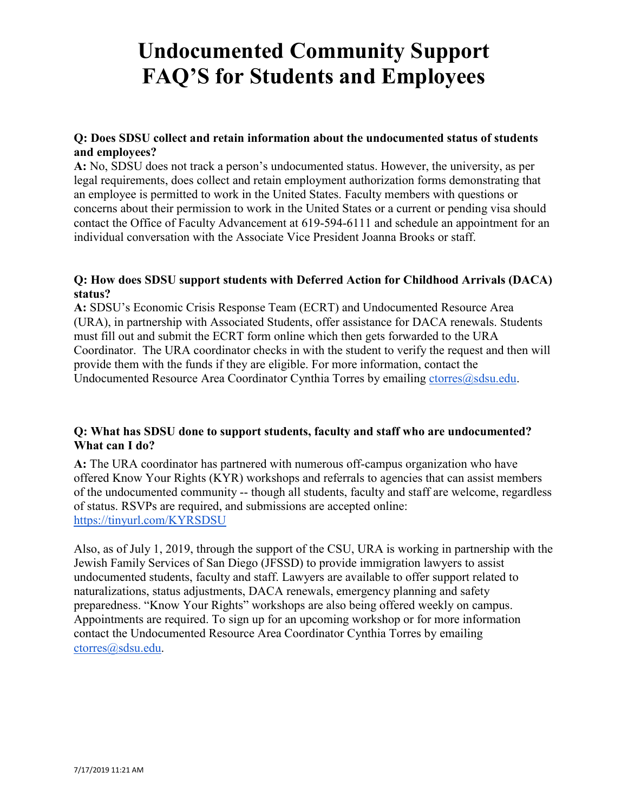## **Q: Does SDSU collect and retain information about the undocumented status of students and employees?**

**A:** No, SDSU does not track a person's undocumented status. However, the university, as per legal requirements, does collect and retain employment authorization forms demonstrating that an employee is permitted to work in the United States. Faculty members with questions or concerns about their permission to work in the United States or a current or pending visa should contact the Office of Faculty Advancement at 619-594-6111 and schedule an appointment for an individual conversation with the Associate Vice President Joanna Brooks or staff.

#### **Q: How does SDSU support students with Deferred Action for Childhood Arrivals (DACA) status?**

**A:** SDSU's Economic Crisis Response Team (ECRT) and Undocumented Resource Area (URA), in partnership with Associated Students, offer assistance for DACA renewals. Students must fill out and submit the ECRT form online which then gets forwarded to the URA Coordinator. The URA coordinator checks in with the student to verify the request and then will provide them with the funds if they are eligible. For more information, contact the Undocumented Resource Area Coordinator Cynthia Torres by emailing [ctorres@sdsu.edu.](mailto:atctorres@sdsu.edu)

## **Q: What has SDSU done to support students, faculty and staff who are undocumented? What can I do?**

**A:** The URA coordinator has partnered with numerous off-campus organization who have offered Know Your Rights (KYR) workshops and referrals to agencies that can assist members of the undocumented community -- though all students, faculty and staff are welcome, regardless of status. RSVPs are required, and submissions are accepted online: <https://tinyurl.com/KYRSDSU>

Also, as of July 1, 2019, through the support of the CSU, URA is working in partnership with the Jewish Family Services of San Diego (JFSSD) to provide immigration lawyers to assist undocumented students, faculty and staff. Lawyers are available to offer support related to naturalizations, status adjustments, DACA renewals, emergency planning and safety preparedness. "Know Your Rights" workshops are also being offered weekly on campus. Appointments are required. To sign up for an upcoming workshop or for more information contact the Undocumented Resource Area Coordinator Cynthia Torres by emailing [ctorres@sdsu.edu.](mailto:atctorres@sdsu.edu)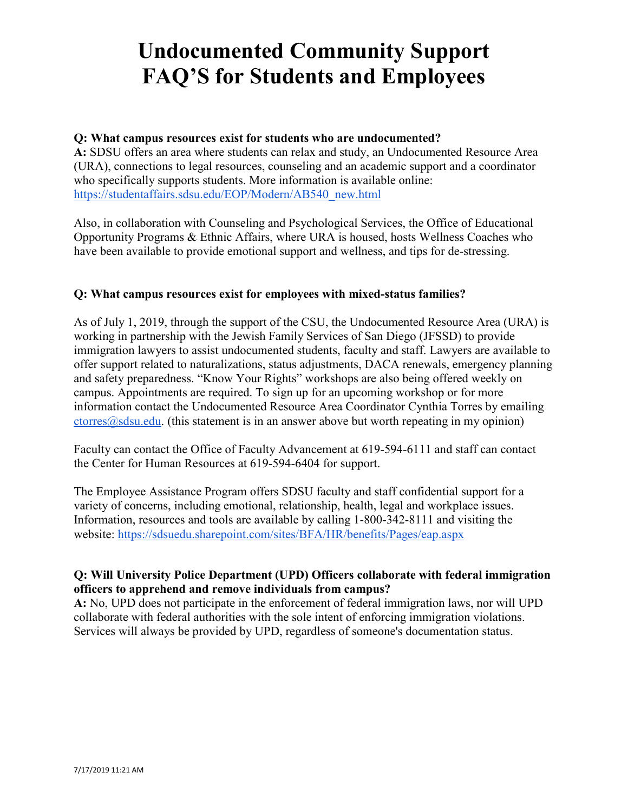## **Q: What campus resources exist for students who are undocumented?**

**A:** SDSU offers an area where students can relax and study, an Undocumented Resource Area (URA), connections to legal resources, counseling and an academic support and a coordinator who specifically supports students. More information is available online: [https://studentaffairs.sdsu.edu/EOP/Modern/AB540\\_new.html](https://studentaffairs.sdsu.edu/EOP/Modern/AB540_new.html)

Also, in collaboration with Counseling and Psychological Services, the Office of Educational Opportunity Programs & Ethnic Affairs, where URA is housed, hosts Wellness Coaches who have been available to provide emotional support and wellness, and tips for de-stressing.

### **Q: What campus resources exist for employees with mixed-status families?**

As of July 1, 2019, through the support of the CSU, the Undocumented Resource Area (URA) is working in partnership with the Jewish Family Services of San Diego (JFSSD) to provide immigration lawyers to assist undocumented students, faculty and staff. Lawyers are available to offer support related to naturalizations, status adjustments, DACA renewals, emergency planning and safety preparedness. "Know Your Rights" workshops are also being offered weekly on campus. Appointments are required. To sign up for an upcoming workshop or for more information contact the Undocumented Resource Area Coordinator Cynthia Torres by emailing  $ctorres(2)$ sdsu.edu. (this statement is in an answer above but worth repeating in my opinion)

Faculty can contact the Office of Faculty Advancement at 619-594-6111 and staff can contact the Center for Human Resources at 619-594-6404 for support.

The Employee Assistance Program offers SDSU faculty and staff confidential support for a variety of concerns, including emotional, relationship, health, legal and workplace issues. Information, resources and tools are available by calling 1-800-342-8111 and visiting the website:<https://sdsuedu.sharepoint.com/sites/BFA/HR/benefits/Pages/eap.aspx>

### **Q: Will University Police Department (UPD) Officers collaborate with federal immigration officers to apprehend and remove individuals from campus?**

**A:** No, UPD does not participate in the enforcement of federal immigration laws, nor will UPD collaborate with federal authorities with the sole intent of enforcing immigration violations. Services will always be provided by UPD, regardless of someone's documentation status.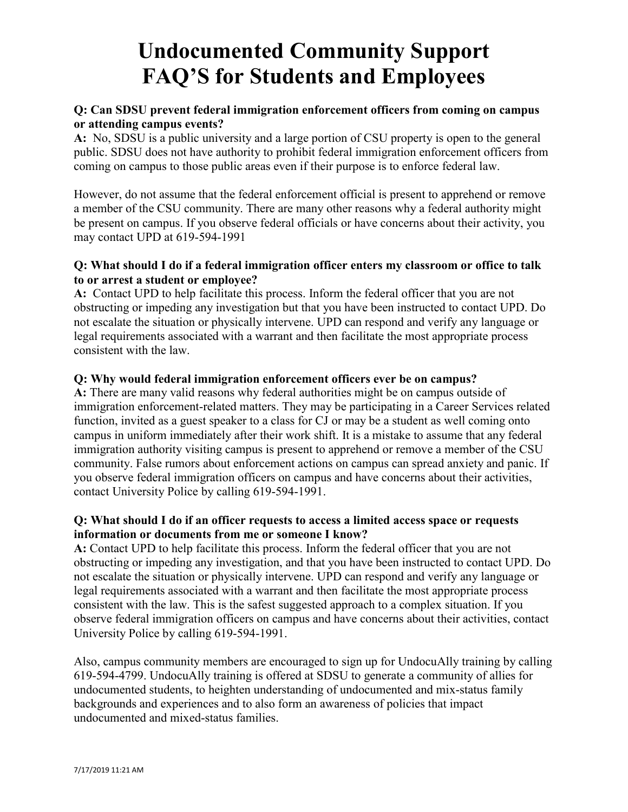## **Q: Can SDSU prevent federal immigration enforcement officers from coming on campus or attending campus events?**

**A:** No, SDSU is a public university and a large portion of CSU property is open to the general public. SDSU does not have authority to prohibit federal immigration enforcement officers from coming on campus to those public areas even if their purpose is to enforce federal law.

However, do not assume that the federal enforcement official is present to apprehend or remove a member of the CSU community. There are many other reasons why a federal authority might be present on campus. If you observe federal officials or have concerns about their activity, you may contact UPD at 619-594-1991

### **Q: What should I do if a federal immigration officer enters my classroom or office to talk to or arrest a student or employee?**

**A:** Contact UPD to help facilitate this process. Inform the federal officer that you are not obstructing or impeding any investigation but that you have been instructed to contact UPD. Do not escalate the situation or physically intervene. UPD can respond and verify any language or legal requirements associated with a warrant and then facilitate the most appropriate process consistent with the law.

## **Q: Why would federal immigration enforcement officers ever be on campus?**

**A:** There are many valid reasons why federal authorities might be on campus outside of immigration enforcement-related matters. They may be participating in a Career Services related function, invited as a guest speaker to a class for CJ or may be a student as well coming onto campus in uniform immediately after their work shift. It is a mistake to assume that any federal immigration authority visiting campus is present to apprehend or remove a member of the CSU community. False rumors about enforcement actions on campus can spread anxiety and panic. If you observe federal immigration officers on campus and have concerns about their activities, contact University Police by calling 619-594-1991.

### **Q: What should I do if an officer requests to access a limited access space or requests information or documents from me or someone I know?**

**A:** Contact UPD to help facilitate this process. Inform the federal officer that you are not obstructing or impeding any investigation, and that you have been instructed to contact UPD. Do not escalate the situation or physically intervene. UPD can respond and verify any language or legal requirements associated with a warrant and then facilitate the most appropriate process consistent with the law. This is the safest suggested approach to a complex situation. If you observe federal immigration officers on campus and have concerns about their activities, contact University Police by calling 619-594-1991.

Also, campus community members are encouraged to sign up for UndocuAlly training by calling 619-594-4799. UndocuAlly training is offered at SDSU to generate a community of allies for undocumented students, to heighten understanding of undocumented and mix-status family backgrounds and experiences and to also form an awareness of policies that impact undocumented and mixed-status families.